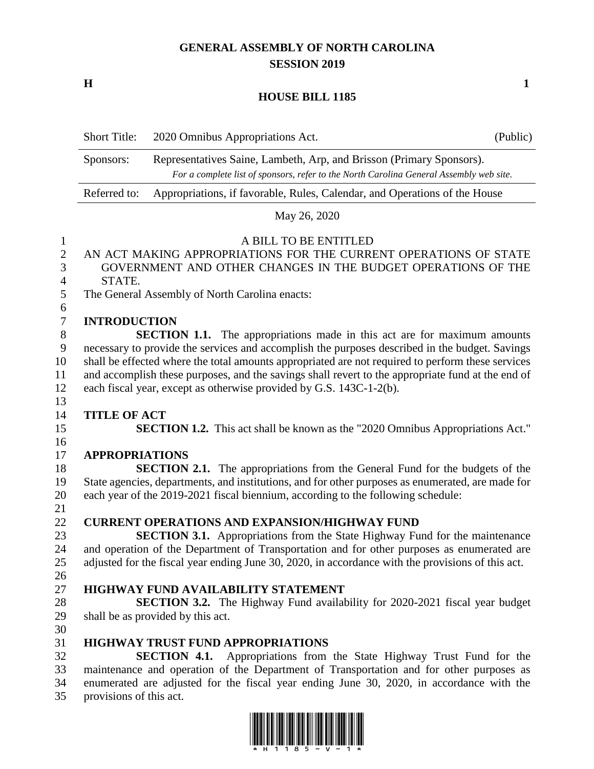## **GENERAL ASSEMBLY OF NORTH CAROLINA SESSION 2019**

**H 1**

## **HOUSE BILL 1185**

Short Title: 2020 Omnibus Appropriations Act. (Public)

|                | Sponsors:                                                                                         | Representatives Saine, Lambeth, Arp, and Brisson (Primary Sponsors).<br>For a complete list of sponsors, refer to the North Carolina General Assembly web site. |  |
|----------------|---------------------------------------------------------------------------------------------------|-----------------------------------------------------------------------------------------------------------------------------------------------------------------|--|
|                | Referred to:                                                                                      | Appropriations, if favorable, Rules, Calendar, and Operations of the House                                                                                      |  |
|                |                                                                                                   | May 26, 2020                                                                                                                                                    |  |
| $\mathbf{1}$   |                                                                                                   | A BILL TO BE ENTITLED                                                                                                                                           |  |
| $\mathbf{2}$   |                                                                                                   | AN ACT MAKING APPROPRIATIONS FOR THE CURRENT OPERATIONS OF STATE                                                                                                |  |
| 3              | GOVERNMENT AND OTHER CHANGES IN THE BUDGET OPERATIONS OF THE                                      |                                                                                                                                                                 |  |
| $\overline{4}$ | STATE.                                                                                            |                                                                                                                                                                 |  |
| 5              | The General Assembly of North Carolina enacts:                                                    |                                                                                                                                                                 |  |
| 6              |                                                                                                   |                                                                                                                                                                 |  |
| $\tau$         | <b>INTRODUCTION</b>                                                                               |                                                                                                                                                                 |  |
| 8              | <b>SECTION 1.1.</b> The appropriations made in this act are for maximum amounts                   |                                                                                                                                                                 |  |
| $\mathbf{9}$   | necessary to provide the services and accomplish the purposes described in the budget. Savings    |                                                                                                                                                                 |  |
| 10             | shall be effected where the total amounts appropriated are not required to perform these services |                                                                                                                                                                 |  |
| 11             | and accomplish these purposes, and the savings shall revert to the appropriate fund at the end of |                                                                                                                                                                 |  |
| 12             | each fiscal year, except as otherwise provided by G.S. 143C-1-2(b).                               |                                                                                                                                                                 |  |
| 13             |                                                                                                   |                                                                                                                                                                 |  |
| 14             | <b>TITLE OF ACT</b>                                                                               |                                                                                                                                                                 |  |
| 15             | SECTION 1.2. This act shall be known as the "2020 Omnibus Appropriations Act."                    |                                                                                                                                                                 |  |
| 16             |                                                                                                   |                                                                                                                                                                 |  |
| 17             | <b>APPROPRIATIONS</b>                                                                             |                                                                                                                                                                 |  |
| 18             |                                                                                                   | <b>SECTION 2.1.</b> The appropriations from the General Fund for the budgets of the                                                                             |  |
| 19             |                                                                                                   | State agencies, departments, and institutions, and for other purposes as enumerated, are made for                                                               |  |
| 20             |                                                                                                   | each year of the 2019-2021 fiscal biennium, according to the following schedule:                                                                                |  |
| 21             |                                                                                                   |                                                                                                                                                                 |  |
| 22             |                                                                                                   | <b>CURRENT OPERATIONS AND EXPANSION/HIGHWAY FUND</b>                                                                                                            |  |
| 23             |                                                                                                   | <b>SECTION 3.1.</b> Appropriations from the State Highway Fund for the maintenance                                                                              |  |
| 24             |                                                                                                   | and operation of the Department of Transportation and for other purposes as enumerated are                                                                      |  |
| 25             |                                                                                                   | adjusted for the fiscal year ending June 30, 2020, in accordance with the provisions of this act.                                                               |  |
| 26             |                                                                                                   |                                                                                                                                                                 |  |
| 27             |                                                                                                   | <b>HIGHWAY FUND AVAILABILITY STATEMENT</b>                                                                                                                      |  |
| 28             |                                                                                                   | <b>SECTION 3.2.</b> The Highway Fund availability for 2020-2021 fiscal year budget                                                                              |  |
| 29             |                                                                                                   | shall be as provided by this act.                                                                                                                               |  |
| 30             |                                                                                                   |                                                                                                                                                                 |  |
| 31             |                                                                                                   | <b>HIGHWAY TRUST FUND APPROPRIATIONS</b>                                                                                                                        |  |

 **SECTION 4.1.** Appropriations from the State Highway Trust Fund for the maintenance and operation of the Department of Transportation and for other purposes as enumerated are adjusted for the fiscal year ending June 30, 2020, in accordance with the provisions of this act.